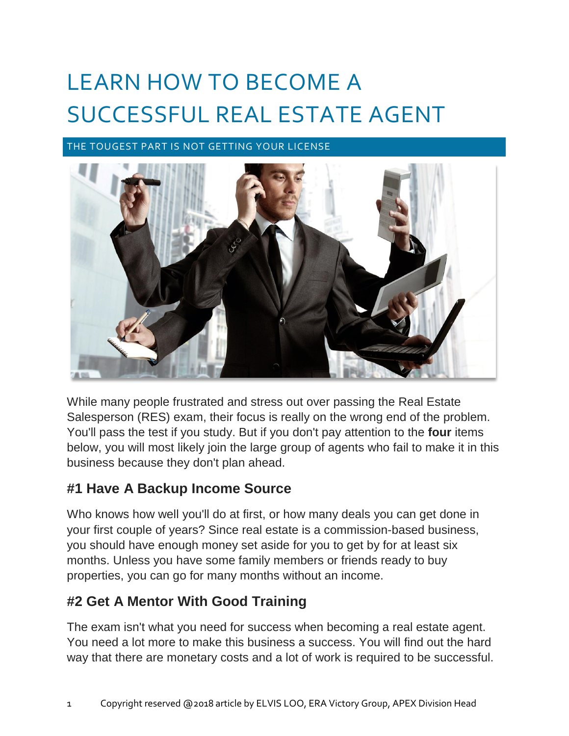# LEARN HOW TO BECOME A SUCCESSFUL REAL ESTATE AGENT

THE TOUGEST PART IS NOT GETTING YOUR LICENSE



While many people frustrated and stress out over passing the Real Estate Salesperson (RES) exam, their focus is really on the wrong end of the problem. You'll pass the test if you study. But if you don't pay attention to the **four** items below, you will most likely join the large group of agents who fail to make it in this business because they don't plan ahead.

#### **#1 Have A Backup Income Source**

Who knows how well you'll do at first, or how many deals you can get done in your first couple of years? Since real estate is a commission-based business, you should have enough money set aside for you to get by for at least six months. Unless you have some family members or friends ready to buy properties, you can go for many months without an income.

### **#2 Get A Mentor With Good Training**

The exam isn't what you need for success when becoming a real estate agent. You need a lot more to make this business a success. You will find out the hard way that there are monetary costs and a lot of work is required to be successful.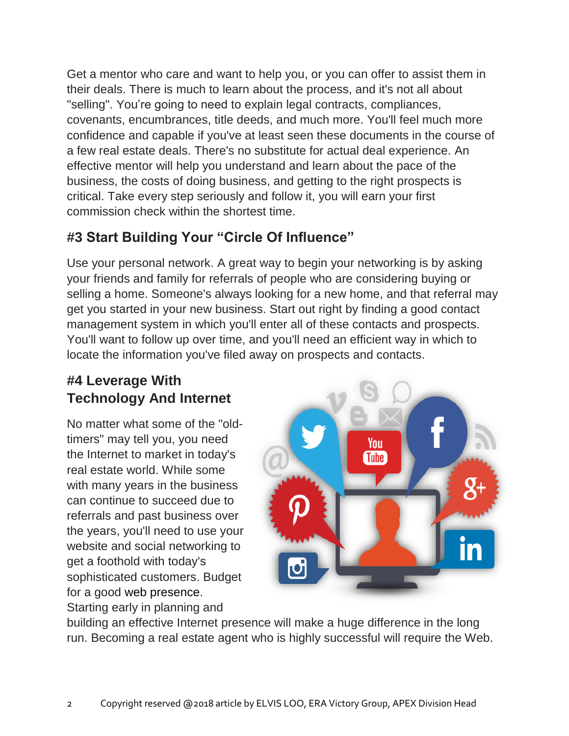Get a mentor who care and want to help you, or you can offer to assist them in their deals. There is much to learn about the process, and it's not all about "selling". You're going to need to explain legal contracts, compliances, covenants, encumbrances, title deeds, and much more. You'll feel much more confidence and capable if you've at least seen these documents in the course of a few real estate deals. There's no substitute for actual deal experience. An effective mentor will help you understand and learn about the pace of the business, the costs of doing business, and getting to the right prospects is critical. Take every step seriously and follow it, you will earn your first commission check within the shortest time.

## **#3 Start Building Your "Circle Of Influence"**

Use your personal network. A great way to begin your networking is by asking your friends and family for referrals of people who are considering buying or selling a home. Someone's always looking for a new home, and that referral may get you started in your new business. Start out right by finding a good contact management system in which you'll enter all of these contacts and prospects. You'll want to follow up over time, and you'll need an efficient way in which to locate the information you've filed away on prospects and contacts.

# **#4 Leverage With Technology And Internet**

No matter what some of the "oldtimers" may tell you, you need the Internet to market in today's real estate world. While some with many years in the business can continue to succeed due to referrals and past business over the years, you'll need to use your website and social networking to get a foothold with today's sophisticated customers. Budget for a good web presence. Starting early in planning and



building an effective Internet presence will make a huge difference in the long run. Becoming a real estate agent who is highly successful will require the Web.